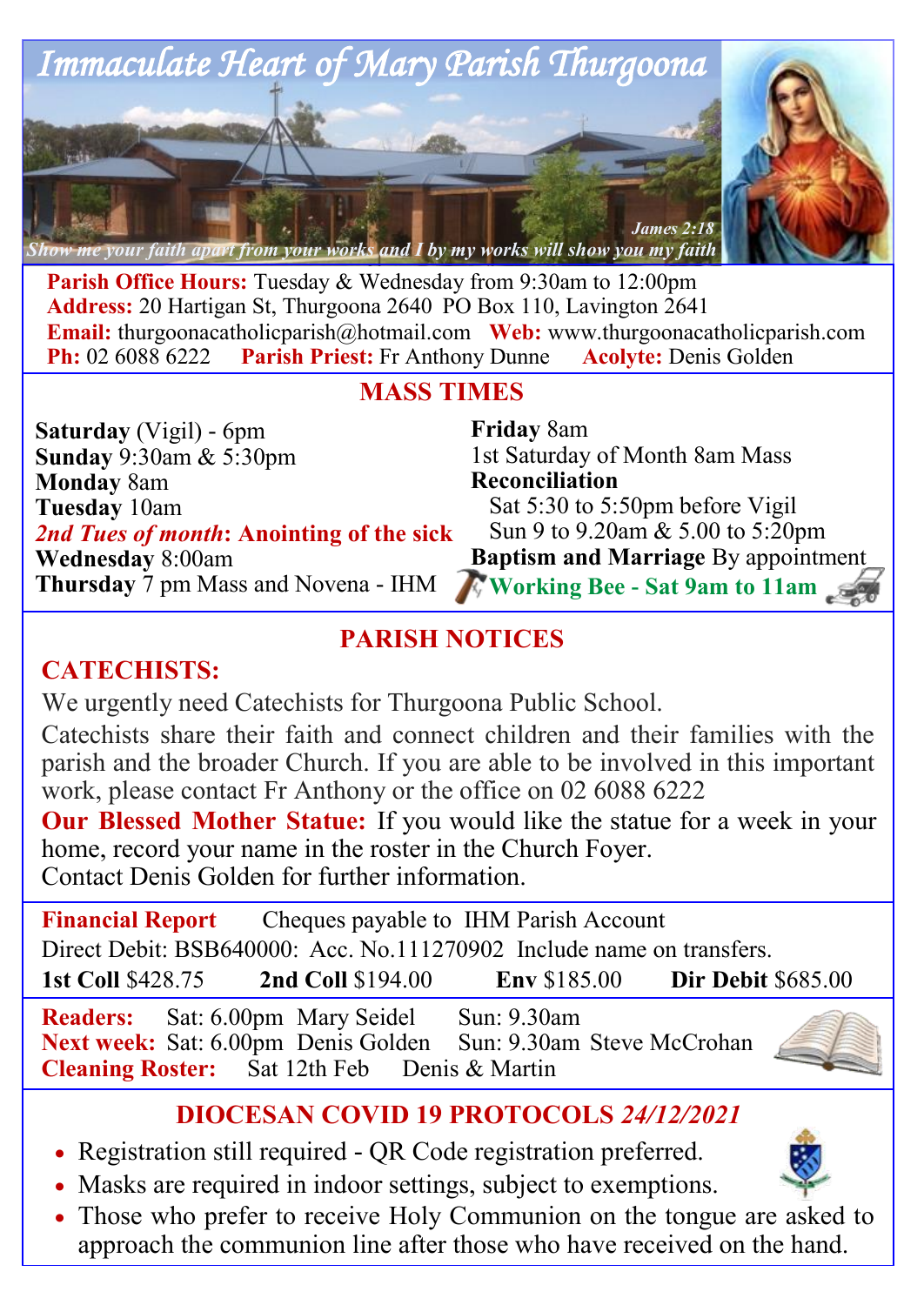

**Parish Office Hours:** Tuesday & Wednesday from 9:30am to 12:00pm **Address:** 20 Hartigan St, Thurgoona 2640 PO Box 110, Lavington 2641 **Email:** thurgoonacatholicparish@hotmail.com Web: www.thurgoonacatholicparish.com<br> **Ph:** 02 6088 6222 Parish Priest: Fr Anthony Dunne Acolyte: Denis Golden **Parish Priest:** Fr Anthony Dunne

### **MASS TIMES**

| <b>Saturday</b> (Vigil) - 6pm            | <b>Friday 8am</b>                                                 |
|------------------------------------------|-------------------------------------------------------------------|
| <b>Sunday 9:30am &amp; 5:30pm</b>        | 1st Saturday of Month 8am Mass                                    |
| <b>Monday 8am</b>                        | Reconciliation                                                    |
| Tuesday 10am                             | Sat 5:30 to 5:50pm before Vigil                                   |
| 2nd Tues of month: Anointing of the sick | Sun 9 to 9.20am & 5.00 to 5:20pm                                  |
| <b>Wednesday 8:00am</b>                  | <b>Baptism and Marriage By appointment</b>                        |
|                                          | Thursday 7 pm Mass and Novena - IHM Working Bee - Sat 9am to 11am |

# **PARISH NOTICES**

## **CATECHISTS:**

We urgently need Catechists for Thurgoona Public School.

Catechists share their faith and connect children and their families with the parish and the broader Church. If you are able to be involved in this important work, please contact Fr Anthony or the office on 02 6088 6222

**Our Blessed Mother Statue:** If you would like the statue for a week in your home, record your name in the roster in the Church Foyer.

Contact Denis Golden for further information.

**Financial Report** Cheques payable to IHM Parish Account Direct Debit: BSB640000: Acc. No.111270902 Include name on transfers. **1st Coll** \$428.75 **2nd Coll** \$194.00 **Env** \$185.00 **Dir Debit** \$685.00

**Readers:** Sat: 6.00pm Mary Seidel Sun: 9.30am **Next week:** Sat: 6.00pm Denis Golden Sun: 9.30am Steve McCrohan Cleaning Roster: Sat 12th Feb Denis & Martin **Cleaning Roster:** 



## **DIOCESAN COVID 19 PROTOCOLS** *24/12/2021*

- Registration still required QR Code registration preferred.
- Masks are required in indoor settings, subject to exemptions.
- Those who prefer to receive Holy Communion on the tongue are asked to approach the communion line after those who have received on the hand.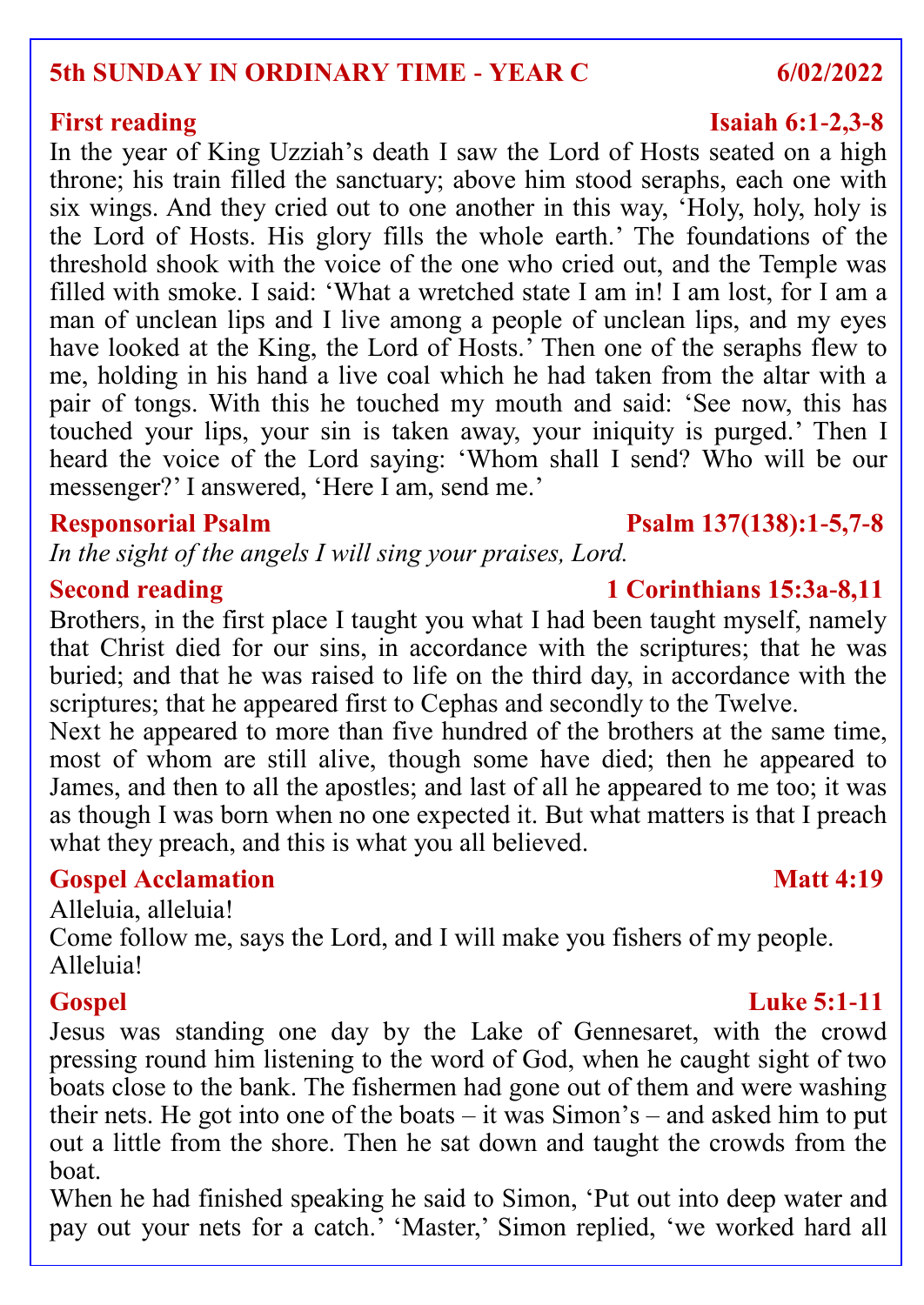### **5th SUNDAY IN ORDINARY TIME - YEAR C 6/02/2022**

In the year of King Uzziah's death I saw the Lord of Hosts seated on a high throne; his train filled the sanctuary; above him stood seraphs, each one with six wings. And they cried out to one another in this way, 'Holy, holy, holy is the Lord of Hosts. His glory fills the whole earth.' The foundations of the threshold shook with the voice of the one who cried out, and the Temple was filled with smoke. I said: 'What a wretched state I am in! I am lost, for I am a man of unclean lips and I live among a people of unclean lips, and my eyes have looked at the King, the Lord of Hosts.<sup>5</sup> Then one of the seraphs flew to me, holding in his hand a live coal which he had taken from the altar with a pair of tongs. With this he touched my mouth and said: 'See now, this has touched your lips, your sin is taken away, your iniquity is purged.' Then I heard the voice of the Lord saying: 'Whom shall I send? Who will be our messenger?' I answered, 'Here I am, send me.'

### **Responsorial Psalm Psalm 137(138):1-5,7-8**

*In the sight of the angels I will sing your praises, Lord.*

Brothers, in the first place I taught you what I had been taught myself, namely that Christ died for our sins, in accordance with the scriptures; that he was buried; and that he was raised to life on the third day, in accordance with the scriptures; that he appeared first to Cephas and secondly to the Twelve.

Next he appeared to more than five hundred of the brothers at the same time, most of whom are still alive, though some have died; then he appeared to James, and then to all the apostles; and last of all he appeared to me too; it was as though I was born when no one expected it. But what matters is that I preach what they preach, and this is what you all believed.

### **Gospel Acclamation Matt 4:19**

Alleluia, alleluia!

Come follow me, says the Lord, and I will make you fishers of my people. Alleluia!

Jesus was standing one day by the Lake of Gennesaret, with the crowd pressing round him listening to the word of God, when he caught sight of two boats close to the bank. The fishermen had gone out of them and were washing their nets. He got into one of the boats – it was Simon's – and asked him to put out a little from the shore. Then he sat down and taught the crowds from the boat.

When he had finished speaking he said to Simon, 'Put out into deep water and pay out your nets for a catch.' 'Master,' Simon replied, 'we worked hard all

### **First reading Isaiah 6:1-2,3-8**

# **Second reading 1 Corinthians 15:3a-8,11**

### **Gospel Luke 5:1-11**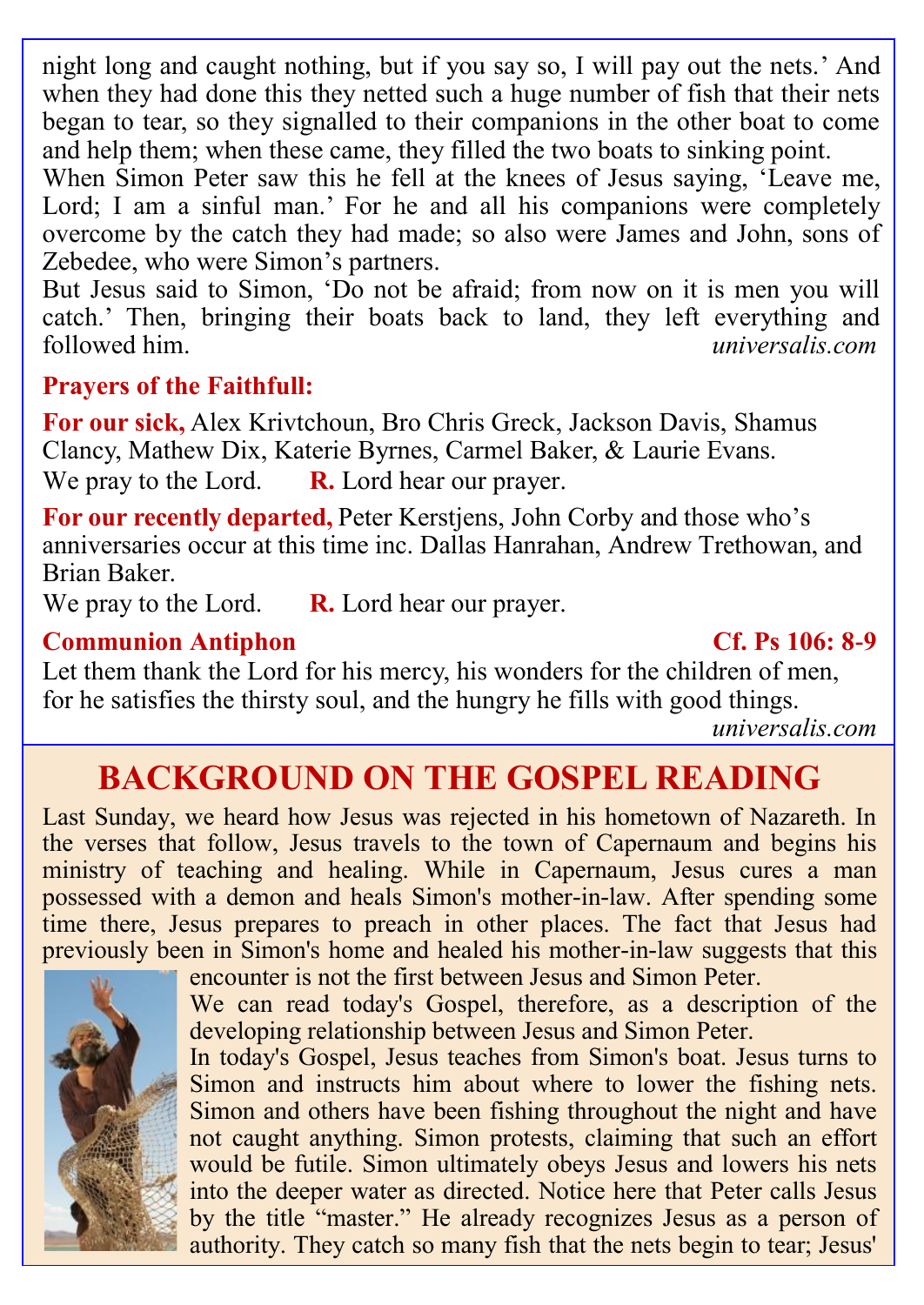night long and caught nothing, but if you say so, I will pay out the nets.' And when they had done this they netted such a huge number of fish that their nets began to tear, so they signalled to their companions in the other boat to come and help them; when these came, they filled the two boats to sinking point.

When Simon Peter saw this he fell at the knees of Jesus saying, 'Leave me, Lord; I am a sinful man.' For he and all his companions were completely overcome by the catch they had made; so also were James and John, sons of Zebedee, who were Simon's partners.

But Jesus said to Simon, 'Do not be afraid; from now on it is men you will catch.' Then, bringing their boats back to land, they left everything and followed him. followed him. *universalis.com*

### **Prayers of the Faithfull:**

**For our sick,** Alex Krivtchoun, Bro Chris Greck, Jackson Davis, Shamus Clancy, Mathew Dix, Katerie Byrnes, Carmel Baker, & Laurie Evans. We pray to the Lord. **R.** Lord hear our prayer.

**For our recently departed,** Peter Kerstjens, John Corby and those who's anniversaries occur at this time inc. Dallas Hanrahan, Andrew Trethowan, and Brian Baker.

We pray to the Lord. **R.** Lord hear our prayer.

### **Communion Antiphon Cf. Ps 106: 8-9**

Let them thank the Lord for his mercy, his wonders for the children of men, for he satisfies the thirsty soul, and the hungry he fills with good things.

*universalis.com*

# **BACKGROUND ON THE GOSPEL READING**

Last Sunday, we heard how Jesus was rejected in his hometown of Nazareth. In the verses that follow, Jesus travels to the town of Capernaum and begins his ministry of teaching and healing. While in Capernaum, Jesus cures a man possessed with a demon and heals Simon's mother-in-law. After spending some time there, Jesus prepares to preach in other places. The fact that Jesus had previously been in Simon's home and healed his mother-in-law suggests that this



encounter is not the first between Jesus and Simon Peter.

We can read today's Gospel, therefore, as a description of the developing relationship between Jesus and Simon Peter.

In today's Gospel, Jesus teaches from Simon's boat. Jesus turns to Simon and instructs him about where to lower the fishing nets. Simon and others have been fishing throughout the night and have not caught anything. Simon protests, claiming that such an effort would be futile. Simon ultimately obeys Jesus and lowers his nets into the deeper water as directed. Notice here that Peter calls Jesus by the title "master." He already recognizes Jesus as a person of authority. They catch so many fish that the nets begin to tear; Jesus'